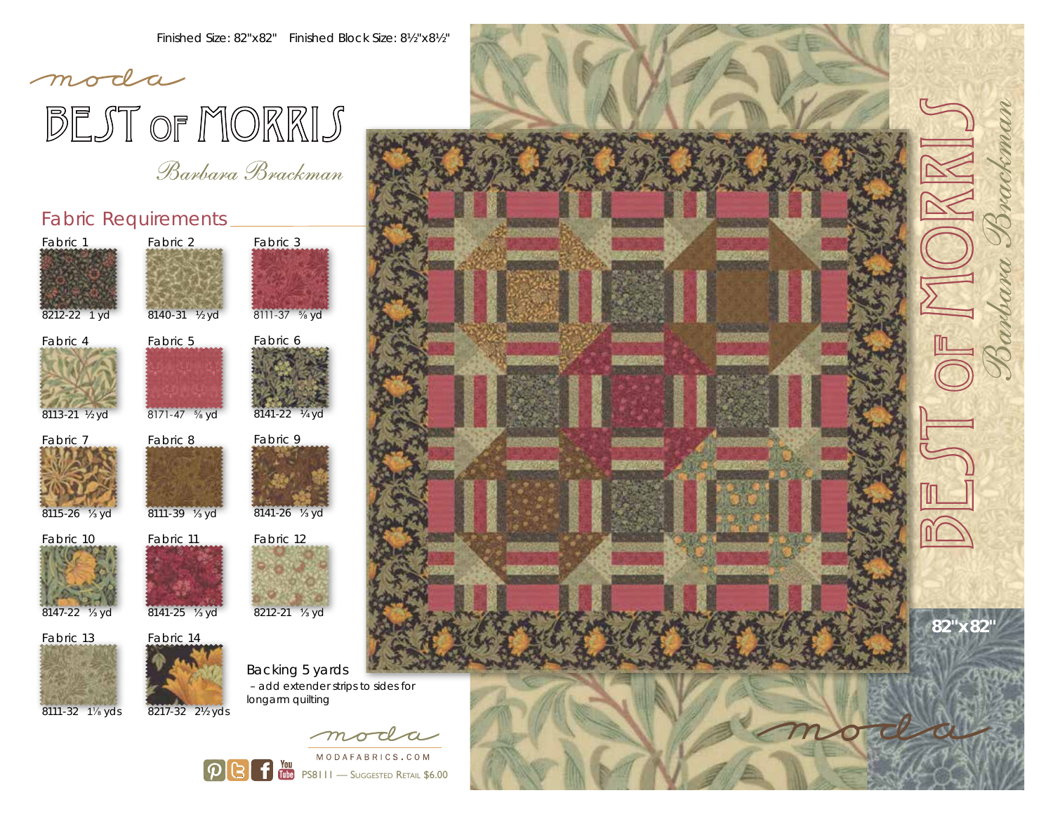# moda BEST OF MORRIS

Banbana Bnackman

### Fabric Requirements



8212-22 1 yd





Fabric 8

8140-31 ½ yd

Fabric 2

8113-21 ½ yd





8111-39 <sup>1</sup>/<sub>3</sub> yd



Fabric 13



Fabric 11

 $|\mathcal{D}|$ 

(31

8141-25 ⅓ yd



8141-22 ¼ yd

Fabric 6

Fabric 3

8111-37 ⅝ yd

8212-21 ⅓ yd

Backing 5 yards – add extender strips to sides for longarm quilting

> moda MODAFABRICS.COM **THE PS8111** — Suggested Retail \$6.00

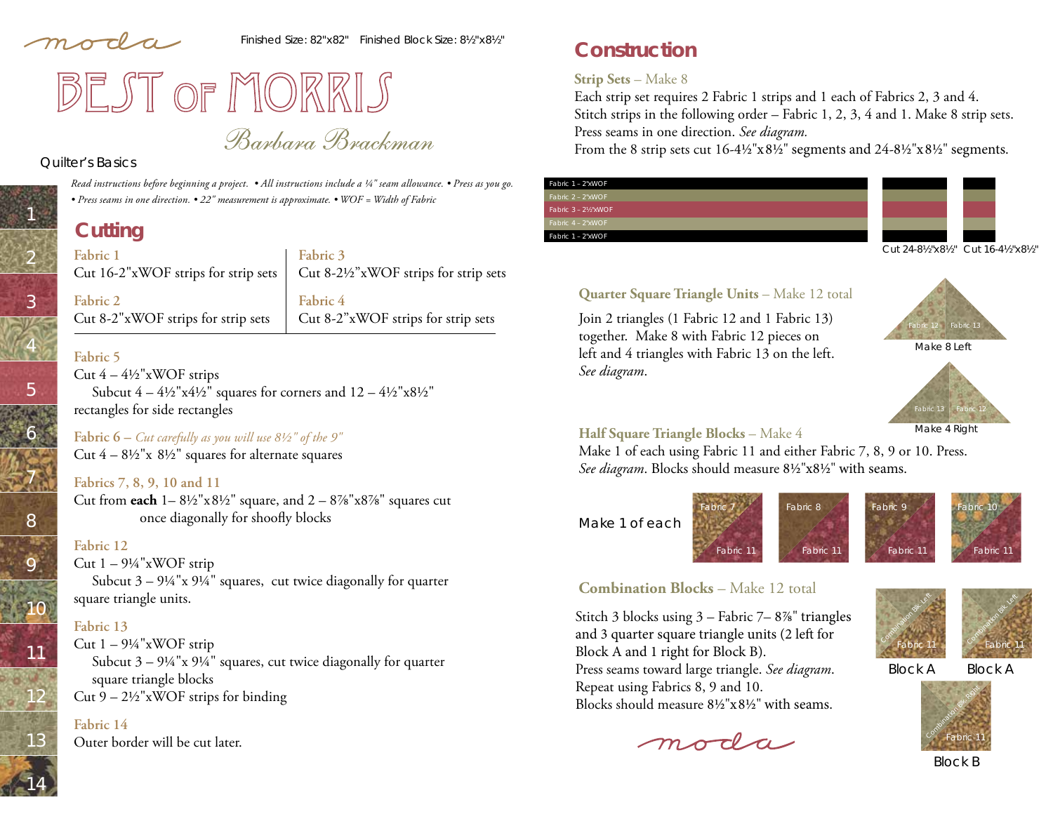moda

Finished Size: 82"x82" Finished Block Size: 8½"x8½"



Banbana Bnackman

#### Quilter's Basics

1

2

3

4

5

6

7

8

9

10

11

12

13

14

*Read instructions before beginning a project. • All instructions include a ¼" seam allowance. • Press as you go. • Press seams in one direction. • 22" measurement is approximate. • WOF = Width of Fabric* 

# **Cutting**

**Fabric 1**  Cut 16-2"xWOF strips for strip sets

**Fabric 3** Cut 8-2½"xWOF strips for strip sets

**Fabric 2** Cut 8-2"xWOF strips for strip sets

**Fabric 4** Cut 8-2"xWOF strips for strip sets

#### **Fabric 5**

Cut  $4 - 4\frac{1}{2}$ "xWOF strips Subcut  $4 - 4\frac{1}{2}$ "x $4\frac{1}{2}$ " squares for corners and  $12 - 4\frac{1}{2}$ "x $8\frac{1}{2}$ " rectangles for side rectangles

**Fabric 6 –** *Cut carefully as you will use 8½" of the 9"* Cut  $4 - 8\frac{1}{2}x$   $8\frac{1}{2}$  squares for alternate squares

#### **Fabrics 7, 8, 9, 10 and 11**

Cut from **each**  $1 - 8\frac{1}{2}$ "x $8\frac{1}{2}$ " square, and  $2 - 8\frac{7}{8}$ "x $8\frac{7}{8}$ " squares cut once diagonally for shoofly blocks

#### **Fabric 12**

Cut  $1 - 9\frac{1}{4}$ "xWOF strip Subcut  $3 - 9\frac{1}{4}$ "x  $9\frac{1}{4}$ " squares, cut twice diagonally for quarter square triangle units.

#### **Fabric 13**

Cut  $1 - 9\frac{1}{4}$ "xWOF strip Subcut  $3 - 9\frac{1}{4}x$  9<sup>1</sup>/<sub>4</sub>" squares, cut twice diagonally for quarter square triangle blocks Cut  $9 - 2\frac{1}{2}$ "xWOF strips for binding

#### **Fabric 14**

Outer border will be cut later.

# **Construction**

#### **Strip Sets** – Make 8

Each strip set requires 2 Fabric 1 strips and 1 each of Fabrics 2, 3 and 4. Stitch strips in the following order – Fabric 1, 2, 3, 4 and 1. Make 8 strip sets. Press seams in one direction. *See diagram.*

From the 8 strip sets cut 16-4½"x8½" segments and 24-8½"x8½" segments.

#### Fabric 1 – 2"xWOF Fabric 2 – 2"xWOF Fabric 3 – 2½"xWOF abric 1 – 2"xWOF Cut 24-8½"x8½" Cut 16-4½"x8½"



Join 2 triangles (1 Fabric 12 and 1 Fabric 13) together. Make 8 with Fabric 12 pieces on left and 4 triangles with Fabric 13 on the left. *See diagram*.





#### Make 4 Right

#### **Half Square Triangle Blocks** – Make 4

Make 1 of each using Fabric 11 and either Fabric 7, 8, 9 or 10. Press. See diagram. Blocks should measure 81/2"x81/2" with seams.







### **Combination Blocks** – Make 12 total

Stitch 3 blocks using  $3 -$  Fabric  $7 - 8\%$ " triangles and 3 quarter square triangle units (2 left for Block A and 1 right for Block B). Press seams toward large triangle. *See diagram*. Repeat using Fabrics 8, 9 and 10. Blocks should measure  $8\frac{1}{2}$ " $\times$  $8\frac{1}{2}$ " with seams.

moda



Fabric 11

Fabric 10

Block A Block A



Block B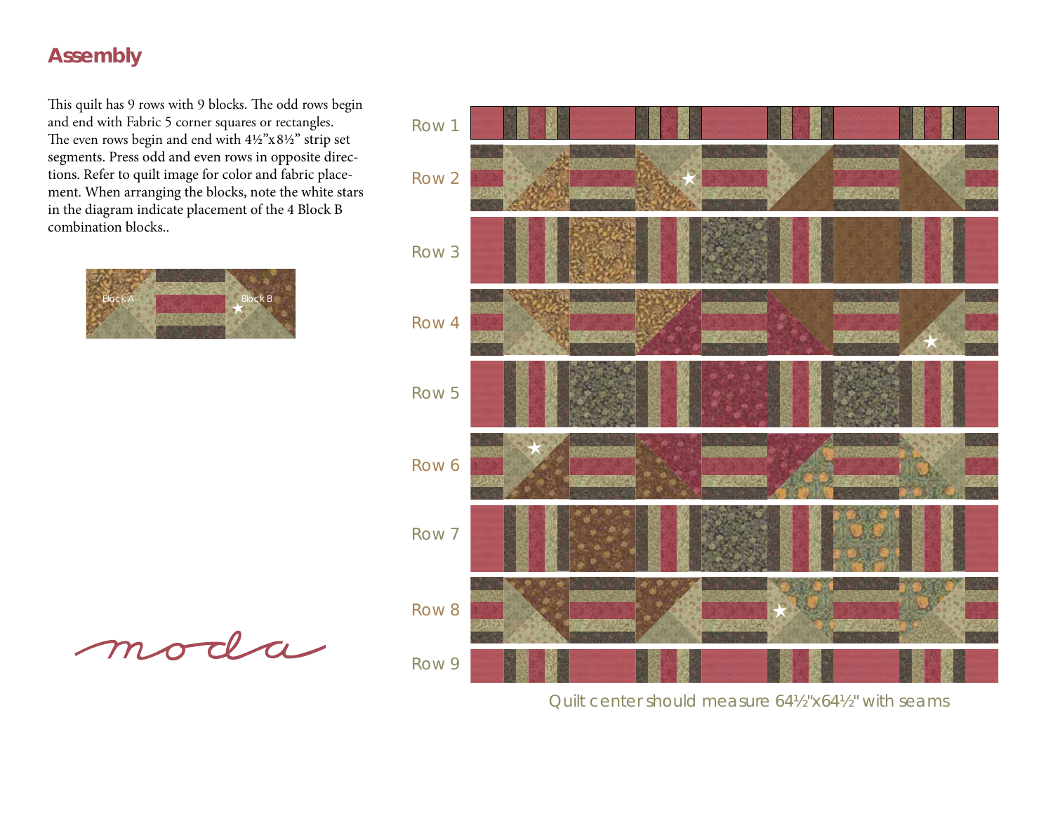## **Assembly**

This quilt has 9 rows with 9 blocks. The odd rows begin and end with Fabric 5 corner squares or rectangles. The even rows begin and end with  $4\frac{1}{2}$ "x81/2" strip set segments. Press odd and even rows in opposite directions. Refer to quilt image for color and fabric placement. When arranging the blocks, note the white stars in the diagram indicate placement of the 4 Block B combination blocks..



moda



Quilt center should measure 64½"x64½" with seams